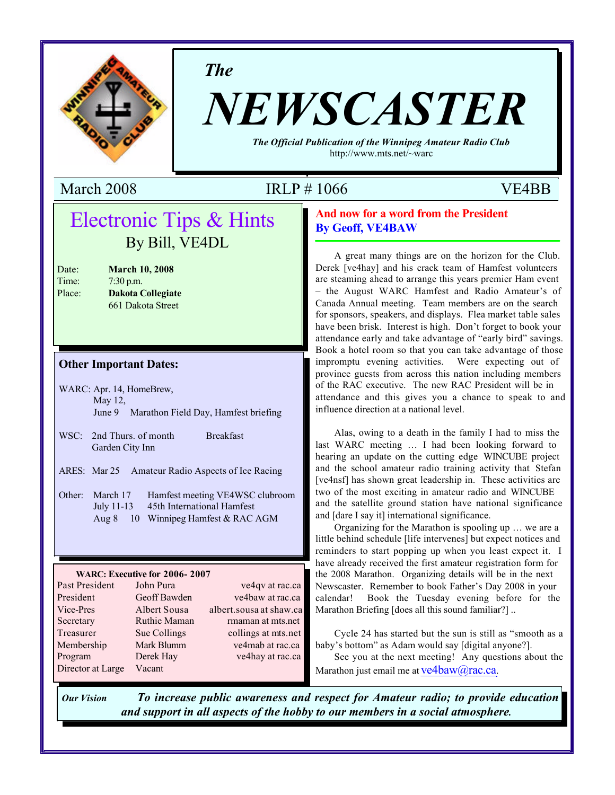

*The*

# *NEWSCASTER*

*The Official Publication of the Winnipeg Amateur Radio Club* http://www.mts.net/~warc

# March 2008 IRLP # 1066 VE4BB

# Electronic Tips & Hints By Bill, VE4DL

| Date:  | <b>March 10, 2008</b>    |
|--------|--------------------------|
| Time:  | $7:30$ p.m.              |
| Place: | <b>Dakota Collegiate</b> |
|        | 661 Dakota Street        |

#### **Other Important Dates:**

- WARC: Apr. 14, HomeBrew, May 12, June 9 Marathon Field Day, Hamfest briefing
- WSC: 2nd Thurs. of month Breakfast Garden City Inn
- ARES: Mar 25 Amateur Radio Aspects of Ice Racing
- Other: March 17 Hamfest meeting VE4WSC clubroom July 11-13 45th International Hamfest Aug 8 10 Winnipeg Hamfest & RAC AGM

#### **WARC: Executive for 2006- 2007**

| Past President    | John Pura    | ve4qv at rac.ca         |
|-------------------|--------------|-------------------------|
| President         | Geoff Bawden | ve4baw at rac.ca        |
| Vice-Pres         | Albert Sousa | albert.sousa at shaw.ca |
| Secretary         | Ruthie Maman | rmaman at mts.net       |
| Treasurer         | Sue Collings | collings at mts.net     |
| Membership        | Mark Blumm   | ve4mab at rac.ca        |
| Program           | Derek Hay    | ve4hay at rac.ca        |
| Director at Large | Vacant       |                         |

#### **And now for a word from the President By Geoff, VE4BAW**

A great many things are on the horizon for the Club. Derek [ve4hay] and his crack team of Hamfest volunteers are steaming ahead to arrange this years premier Ham event – the August WARC Hamfest and Radio Amateur's of Canada Annual meeting. Team members are on the search for sponsors, speakers, and displays. Flea market table sales have been brisk. Interest is high. Don't forget to book your attendance early and take advantage of "early bird" savings. Book a hotel room so that you can take advantage of those impromptu evening activities. Were expecting out of province guests from across this nation including members of the RAC executive. The new RAC President will be in attendance and this gives you a chance to speak to and influence direction at a national level.

Alas, owing to a death in the family I had to miss the last WARC meeting … I had been looking forward to hearing an update on the cutting edge WINCUBE project and the school amateur radio training activity that Stefan [ve4nsf] has shown great leadership in. These activities are two of the most exciting in amateur radio and WINCUBE and the satellite ground station have national significance and [dare I say it] international significance.

Organizing for the Marathon is spooling up … we are a little behind schedule [life intervenes] but expect notices and reminders to start popping up when you least expect it. I have already received the first amateur registration form for the 2008 Marathon. Organizing details will be in the next Newscaster. Remember to book Father's Day 2008 in your calendar! Book the Tuesday evening before for the Marathon Briefing [does all this sound familiar?]..

Cycle 24 has started but the sun is still as "smooth as a baby's bottom" as Adam would say [digital anyone?].

See you at the next meeting! Any questions about the Marathon just email me at  $ve4baw@rac.ca.$ 

*Our Vision To increase public awareness and respect for Amateur radio; to provide education and support in all aspects of the hobby to our members in a social atmosphere.*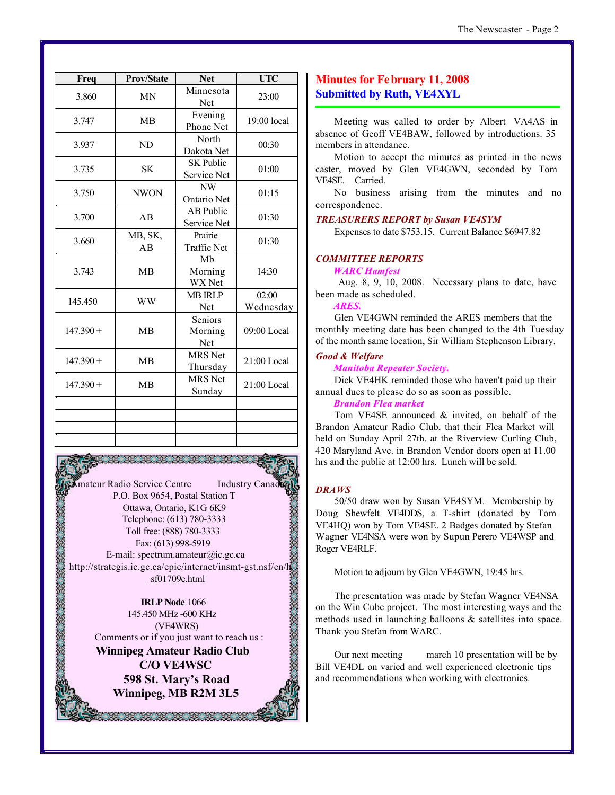| Freq        | <b>Prov/State</b> | <b>Net</b>                      | <b>UTC</b>         |  |
|-------------|-------------------|---------------------------------|--------------------|--|
| 3.860       | <b>MN</b>         | Minnesota<br>Net                | 23:00              |  |
| 3.747       | <b>MB</b>         | Evening<br>Phone Net            | 19:00 local        |  |
| 3.937       | ND                | North<br>Dakota Net             | 00:30              |  |
| 3.735       | <b>SK</b>         | <b>SK Public</b><br>Service Net | 01:00              |  |
| 3.750       | <b>NWON</b>       | NW<br>Ontario Net               | 01:15              |  |
| 3.700       | AB                | <b>AB</b> Public<br>Service Net | 01:30              |  |
| 3.660       | MB, SK,<br>AB     | Prairie<br><b>Traffic Net</b>   | 01:30              |  |
| 3.743       | <b>MB</b>         | Mb<br>Morning<br>WX Net         | 14:30              |  |
| 145.450     | <b>WW</b>         | <b>MB IRLP</b><br>Net           | 02:00<br>Wednesday |  |
| $147.390 +$ | <b>MB</b>         | Seniors<br>Morning<br>Net       | 09:00 Local        |  |
| $147.390 +$ | <b>MB</b>         | <b>MRS</b> Net<br>Thursday      | 21:00 Local        |  |
| $147.390 +$ | <b>MB</b>         | <b>MRS</b> Net<br>Sunday        | 21:00 Local        |  |
|             |                   |                                 |                    |  |
|             |                   |                                 |                    |  |

Amateur Radio Service Centre Industry Canad P.O. Box 9654, Postal Station T Ottawa, Ontario, K1G 6K9 Telephone: (613) 780-3333 Toll free: (888) 780-3333 Fax: (613) 998-5919 E-mail: spectrum.amateur@ic.gc.ca http://strategis.ic.gc.ca/epic/internet/insmt-gst.nsf/en/h \_sf01709e.html

**IRLP Node** 1066 145.450 MHz -600 KHz (VE4WRS) Comments or if you just want to reach us : **Winnipeg Amateur Radio Club C/O VE4WSC 598 St. Mary's Road Winnipeg, MB R2M 3L5**

, 1999, 1999, 1999, 1999, 1999, 1999, 1999, 1999, 1999, 1999, 1999, 1999, 1999, 1999, 1999, 1999, 1999, 1999,

#### **Minutes for February 11, 2008 Submitted by Ruth, VE4XYL**

Meeting was called to order by Albert VA4AS in absence of Geoff VE4BAW, followed by introductions. 35 members in attendance.

Motion to accept the minutes as printed in the news caster, moved by Glen VE4GWN, seconded by Tom VE4SE. Carried.

No business arising from the minutes and no correspondence.

#### *TREASURERS REPORT by Susan VE4SYM*

Expenses to date \$753.15. Current Balance \$6947.82

#### *COMMITTEE REPORTS*

*WARC Hamfest*

 Aug. 8, 9, 10, 2008. Necessary plans to date, have been made as scheduled.

#### *ARES.*

Glen VE4GWN reminded the ARES members that the monthly meeting date has been changed to the 4th Tuesday of the month same location, Sir William Stephenson Library.

#### *Good & Welfare*

*Manitoba Repeater Society.* 

Dick VE4HK reminded those who haven't paid up their annual dues to please do so as soon as possible.

#### *Brandon Flea market*

Tom VE4SE announced & invited, on behalf of the Brandon Amateur Radio Club, that their Flea Market will held on Sunday April 27th. at the Riverview Curling Club, 420 Maryland Ave. in Brandon Vendor doors open at 11.00 hrs and the public at 12:00 hrs. Lunch will be sold.

#### *DRAWS*

50/50 draw won by Susan VE4SYM. Membership by Doug Shewfelt VE4DDS, a T-shirt (donated by Tom VE4HQ) won by Tom VE4SE. 2 Badges donated by Stefan Wagner VE4NSA were won by Supun Perero VE4WSP and Roger VE4RLF.

Motion to adjourn by Glen VE4GWN, 19:45 hrs.

The presentation was made by Stefan Wagner VE4NSA on the Win Cube project. The most interesting ways and the methods used in launching balloons & satellites into space. Thank you Stefan from WARC.

Our next meeting march 10 presentation will be by Bill VE4DL on varied and well experienced electronic tips and recommendations when working with electronics.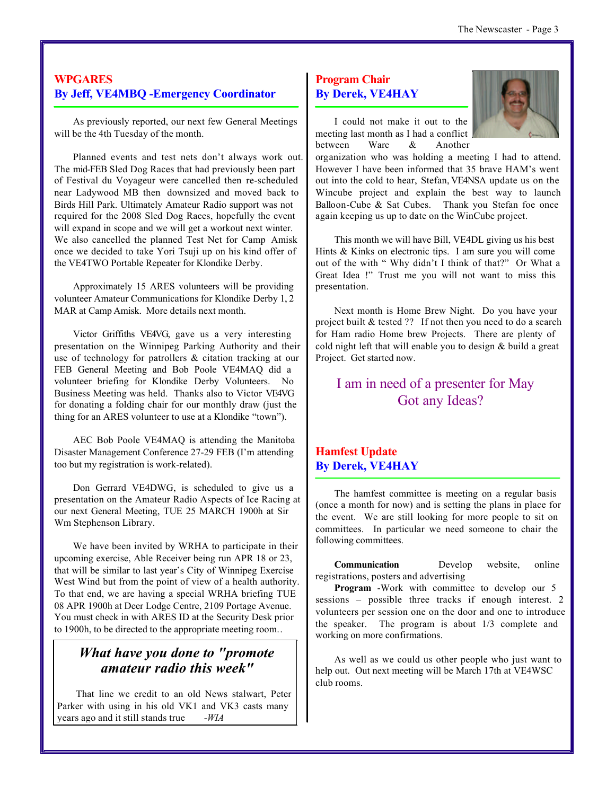#### **WPGARES By Jeff, VE4MBQ -Emergency Coordinator**

As previously reported, our next few General Meetings will be the 4th Tuesday of the month.

Planned events and test nets don't always work out. The mid-FEB Sled Dog Races that had previously been part of Festival du Voyageur were cancelled then re-scheduled near Ladywood MB then downsized and moved back to Birds Hill Park. Ultimately Amateur Radio support was not required for the 2008 Sled Dog Races, hopefully the event will expand in scope and we will get a workout next winter. We also cancelled the planned Test Net for Camp Amisk once we decided to take Yori Tsuji up on his kind offer of the VE4TWO Portable Repeater for Klondike Derby.

Approximately 15 ARES volunteers will be providing volunteer Amateur Communications for Klondike Derby 1, 2 MAR at Camp Amisk. More details next month.

Victor Griffiths VE4VG, gave us a very interesting presentation on the Winnipeg Parking Authority and their use of technology for patrollers & citation tracking at our FEB General Meeting and Bob Poole VE4MAQ did a volunteer briefing for Klondike Derby Volunteers. No Business Meeting was held. Thanks also to Victor VE4VG for donating a folding chair for our monthly draw (just the thing for an ARES volunteer to use at a Klondike "town").

AEC Bob Poole VE4MAQ is attending the Manitoba Disaster Management Conference 27-29 FEB (I'm attending too but my registration is work-related).

Don Gerrard VE4DWG, is scheduled to give us a presentation on the Amateur Radio Aspects of Ice Racing at our next General Meeting, TUE 25 MARCH 1900h at Sir Wm Stephenson Library.

We have been invited by WRHA to participate in their upcoming exercise, Able Receiver being run APR 18 or 23, that will be similar to last year's City of Winnipeg Exercise West Wind but from the point of view of a health authority. To that end, we are having a special WRHA briefing TUE 08 APR 1900h at Deer Lodge Centre, 2109 Portage Avenue. You must check in with ARES ID at the Security Desk prior to 1900h, to be directed to the appropriate meeting room..

## *What have you done to "promote amateur radio this week"*

That line we credit to an old News stalwart, Peter Parker with using in his old VK1 and VK3 casts many years ago and it still stands true *-WIA*

#### **Program Chair By Derek, VE4HAY**



I could not make it out to the meeting last month as I had a conflict between Warc & Another

organization who was holding a meeting I had to attend. However I have been informed that 35 brave HAM's went out into the cold to hear, Stefan, VE4NSA update us on the Wincube project and explain the best way to launch Balloon-Cube & Sat Cubes. Thank you Stefan foe once again keeping us up to date on the WinCube project.

This month we will have Bill, VE4DL giving us his best Hints & Kinks on electronic tips. I am sure you will come out of the with " Why didn't I think of that?" Or What a Great Idea !" Trust me you will not want to miss this presentation.

Next month is Home Brew Night. Do you have your project built & tested ?? If not then you need to do a search for Ham radio Home brew Projects. There are plenty of cold night left that will enable you to design & build a great Project. Get started now.

# I am in need of a presenter for May Got any Ideas?

### **Hamfest Update By Derek, VE4HAY**

The hamfest committee is meeting on a regular basis (once a month for now) and is setting the plans in place for the event. We are still looking for more people to sit on committees. In particular we need someone to chair the following committees.

**Communication** Develop website, online registrations, posters and advertising

**Program** -Work with committee to develop our 5 sessions – possible three tracks if enough interest. 2 volunteers per session one on the door and one to introduce the speaker. The program is about 1/3 complete and working on more confirmations.

As well as we could us other people who just want to help out. Out next meeting will be March 17th at VE4WSC club rooms.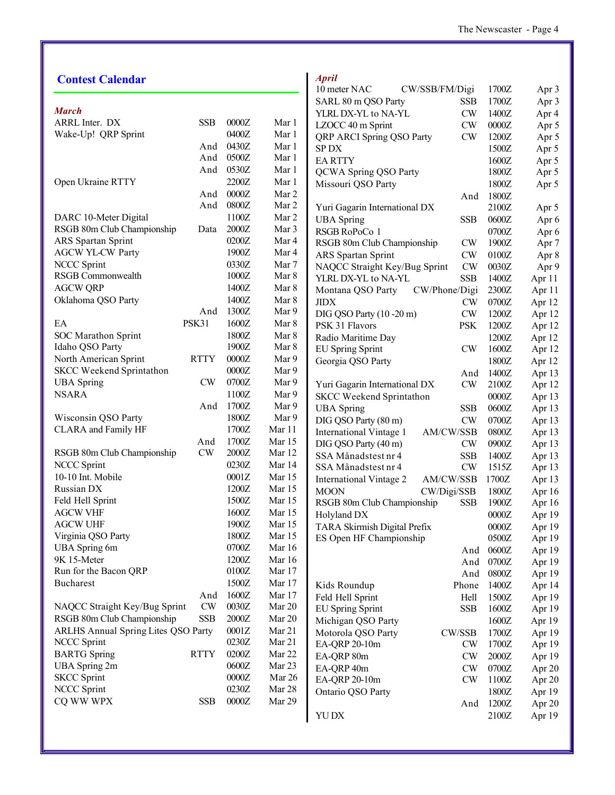| <b>Contest Calendar</b>             |               |         |                   | <b>April</b>                    |                |         |        |
|-------------------------------------|---------------|---------|-------------------|---------------------------------|----------------|---------|--------|
|                                     |               |         |                   | 10 meter NAC                    | CW/SSB/FM/Digi | 1700Z   | Apr 3  |
|                                     |               |         |                   | SARL 80 m QSO Party             | SSB            | 1700Z   | Apr 3  |
| <b>March</b>                        |               |         |                   | YLRL DX-YL to NA-YL             | <b>CW</b>      | 1400Z   | Apr 4  |
| ARRL Inter. DX                      | <b>SSB</b>    | 0000Z   | Mar 1             | LZOCC 40 m Sprint               | CW             | 0000Z   | Apr 5  |
| Wake-Up! QRP Sprint                 |               | 0400Z   | Mar 1             | QRP ARCI Spring QSO Party       | CW             | 1200Z   | Apr 5  |
|                                     | And           | 0430Z   | Mar 1             | SP DX                           |                | 1500Z   | Apr 5  |
|                                     | And           | 0500Z   | Mar 1             | <b>EARTTY</b>                   |                | 1600Z   | Apr 5  |
|                                     | And           | 0530Z   | Mar 1             | QCWA Spring QSO Party           |                | 1800Z   | Apr 5  |
| Open Ukraine RTTY                   |               | 2200Z   | Mar 1             | Missouri QSO Party              |                | 1800Z   | Apr 5  |
|                                     | And           | $0000Z$ | Mar 2             |                                 | And            | 1800Z   |        |
|                                     | And           | 0800Z   | Mar 2             | Yuri Gagarin International DX   |                | 2100Z   | Apr 5  |
| DARC 10-Meter Digital               |               | 1100Z   | Mar 2             | <b>UBA</b> Spring               | <b>SSB</b>     | 0600Z   | Apr 6  |
| RSGB 80m Club Championship          | Data          | 2000Z   | Mar 3             | RSGB RoPoCo 1                   |                | 0700Z   | Apr 6  |
| ARS Spartan Sprint                  |               | 0200Z   | Mar 4             | RSGB 80m Club Championship      | CW             | 1900Z   | Apr 7  |
| <b>AGCW YL-CW Party</b>             |               | 1900Z   | Mar 4             | ARS Spartan Sprint              | CW             | 0100Z   | Apr 8  |
| <b>NCCC Sprint</b>                  |               | 0330Z   | Mar 7             | NAQCC Straight Key/Bug Sprint   | CW             | 0030Z   | Apr 9  |
| RSGB Commonwealth                   |               | 1000Z   | Mar 8             | YLRL DX-YL to NA-YL             | <b>SSB</b>     | 1400Z   | Apr 11 |
| <b>AGCW QRP</b>                     |               | 1400Z   | Mar 8             | Montana QSO Party               | CW/Phone/Digi  | 2300Z   | Apr 11 |
| Oklahoma QSO Party                  |               | 1400Z   | Mar 8             | <b>JIDX</b>                     | CW             | 0700Z   | Apr 12 |
|                                     | And           | 1300Z   | Mar 9             | DIG QSO Party (10 -20 m)        | CW             | 1200Z   | Apr 12 |
| EA                                  | <b>PSK31</b>  | 1600Z   | Mar 8             | PSK 31 Flavors                  | <b>PSK</b>     | 1200Z   | Apr 12 |
| <b>SOC</b> Marathon Sprint          |               | 1800Z   | Mar 8             | Radio Maritime Day              |                | 1200Z   | Apr 12 |
| Idaho QSO Party                     |               | 1900Z   | Mar 8             | <b>EU Spring Sprint</b>         | <b>CW</b>      | 1600Z   | Apr 12 |
| North American Sprint               | <b>RTTY</b>   | 0000Z   | Mar 9             | Georgia QSO Party               |                | 1800Z   | Apr 12 |
| SKCC Weekend Sprintathon            |               | $0000Z$ | Mar 9             |                                 | And            | 1400Z   | Apr 13 |
| <b>UBA</b> Spring                   | <b>CW</b>     | 0700Z   | Mar 9             | Yuri Gagarin International DX   | <b>CW</b>      | 2100Z   | Apr 12 |
| <b>NSARA</b>                        |               | 1100Z   | Mar 9             | <b>SKCC Weekend Sprintathon</b> |                | $0000Z$ | Apr 13 |
|                                     | And           | 1700Z   | Mar 9             | <b>UBA</b> Spring               | <b>SSB</b>     | 0600Z   | Apr 13 |
| Wisconsin QSO Party                 |               | 1800Z   | Mar 9             | DIG QSO Party (80 m)            | CW             | 0700Z   | Apr 13 |
| <b>CLARA</b> and Family HF          |               | 1700Z   | Mar 11            | <b>International Vintage 1</b>  | AM/CW/SSB      | 0800Z   | Apr 13 |
|                                     | And           | 1700Z   | Mar 15            | DIG QSO Party (40 m)            | <b>CW</b>      | 0900Z   | Apr 13 |
| RSGB 80m Club Championship          | $\mathrm{CW}$ | $2000Z$ | Mar 12            | SSA Månadstest nr 4             | <b>SSB</b>     | 1400Z   | Apr 13 |
| <b>NCCC Sprint</b>                  |               | 0230Z   | Mar 14            | SSA Månadstest nr 4             | $\mathrm{CW}$  | 1515Z   | Apr 13 |
| 10-10 Int. Mobile                   |               | 0001Z   | Mar 15            | International Vintage 2         | AM/CW/SSB      | 1700Z   | Apr 13 |
| Russian DX                          |               | 1200Z   | Mar 15            | <b>MOON</b>                     | CW/Digi/SSB    | 1800Z   | Apr 16 |
| Feld Hell Sprint                    |               | 1500Z   | Mar 15            | RSGB 80m Club Championship      | <b>SSB</b>     | 1900Z   | Apr 16 |
| <b>AGCW VHF</b>                     |               | 1600Z   | Mar 15            | Holyland DX                     |                | $0000Z$ | Apr 19 |
| <b>AGCW UHF</b>                     |               | 1900Z   | Mar 15            | TARA Skirmish Digital Prefix    |                | $0000Z$ | Apr 19 |
| Virginia QSO Party                  |               | 1800Z   | Mar 15            | ES Open HF Championship         |                | 0500Z   | Apr 19 |
| <b>UBA</b> Spring 6m                |               | 0700Z   | Mar 16            |                                 | And            | 0600Z   | Apr 19 |
| 9K 15-Meter                         |               | 1200Z   | Mar 16            |                                 | And            | 0700Z   | Apr 19 |
| Run for the Bacon QRP               |               | 0100Z   | Mar 17            |                                 | And            | 0800Z   | Apr 19 |
| <b>Bucharest</b>                    |               | 1500Z   | Mar 17            | Kids Roundup                    | Phone          | 1400Z   | Apr 14 |
|                                     | And           | 1600Z   | Mar 17            | Feld Hell Sprint                | Hell           | 1500Z   | Apr 19 |
| NAQCC Straight Key/Bug Sprint       | $\mathrm{CW}$ | 0030Z   | Mar 20            | <b>EU Spring Sprint</b>         | <b>SSB</b>     | 1600Z   | Apr 19 |
| RSGB 80m Club Championship          | <b>SSB</b>    | 2000Z   | Mar 20            | Michigan QSO Party              |                | 1600Z   | Apr 19 |
| ARLHS Annual Spring Lites QSO Party |               | $0001Z$ | Mar 21            | Motorola QSO Party              | CW/SSB         | 1700Z   | Apr 19 |
| <b>NCCC Sprint</b>                  |               | 0230Z   | Mar 21            | EA-QRP 20-10m                   | <b>CW</b>      | 1700Z   | Apr 19 |
| <b>BARTG</b> Spring                 | <b>RTTY</b>   | 0200Z   | Mar 22            | EA-QRP 80m                      | <b>CW</b>      | 2000Z   | Apr 19 |
| <b>UBA</b> Spring 2m                |               | 0600Z   | Mar <sub>23</sub> | EA-QRP 40m                      | <b>CW</b>      | 0700Z   | Apr 20 |
| <b>SKCC</b> Sprint                  |               | 0000Z   | Mar 26            | EA-QRP 20-10m                   | <b>CW</b>      | 1100Z   | Apr 20 |
| <b>NCCC Sprint</b>                  |               | 0230Z   | Mar 28            | Ontario QSO Party               |                | 1800Z   | Apr 19 |
| CQ WW WPX                           | <b>SSB</b>    | 0000Z   | Mar 29            |                                 | And            | 1200Z   | Apr 20 |
|                                     |               |         |                   | YU DX                           |                | 2100Z   | Apr 19 |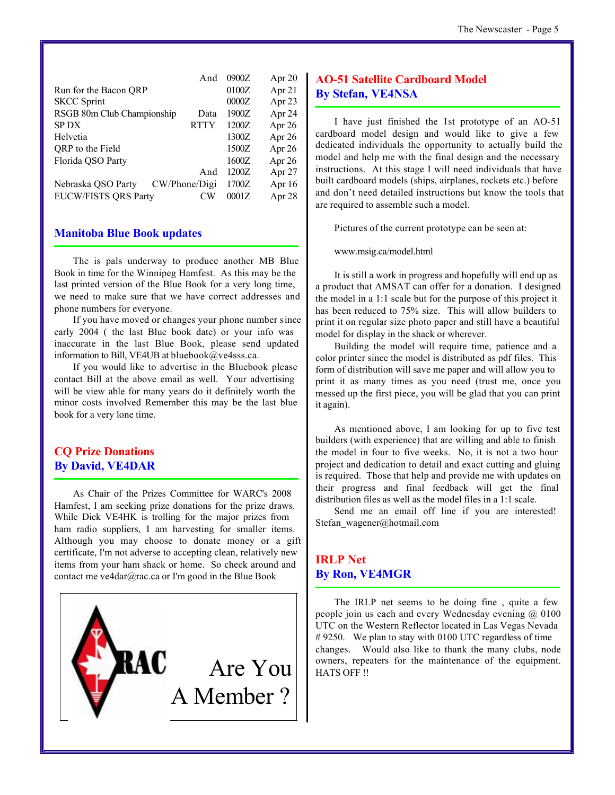|                             | And           | 0900Z | Apr $20$ |
|-----------------------------|---------------|-------|----------|
| Run for the Bacon ORP       |               | 0100Z | Apr 21   |
| <b>SKCC Sprint</b>          |               | 0000Z | Apr $23$ |
| RSGB 80m Club Championship  | Data          | 1900Z | Apr 24   |
| <b>SPDX</b>                 | <b>RTTY</b>   | 1200Z | Apr 26   |
| Helvetia                    |               | 1300Z | Apr 26   |
| QRP to the Field            |               | 1500Z | Apr 26   |
| Florida QSO Party           |               | 1600Z | Apr 26   |
|                             | And           | 1200Z | Apr 27   |
| Nebraska QSO Party          | CW/Phone/Digi | 1700Z | Apr $16$ |
| <b>EUCW/FISTS QRS Party</b> | CW            | 0001Z | Apr 28   |
|                             |               |       |          |

#### **Manitoba Blue Book updates**

The is pals underway to produce another MB Blue Book in time for the Winnipeg Hamfest. As this may be the last printed version of the Blue Book for a very long time, we need to make sure that we have correct addresses and phone numbers for everyone.

If you have moved or changes your phone number since early 2004 ( the last Blue book date) or your info was inaccurate in the last Blue Book, please send updated information to Bill, VE4UB at bluebook@ve4sss.ca.

If you would like to advertise in the Bluebook please contact Bill at the above email as well. Your advertising will be view able for many years do it definitely worth the minor costs involved Remember this may be the last blue book for a very lone time.

#### **CQ Prize Donations By David, VE4DAR**

As Chair of the Prizes Committee for WARC's 2008 Hamfest, I am seeking prize donations for the prize draws. While Dick VE4HK is trolling for the major prizes from ham radio suppliers, I am harvesting for smaller items. Although you may choose to donate money or a gift certificate, I'm not adverse to accepting clean, relatively new items from your ham shack or home. So check around and contact me ve4dar@rac.ca or I'm good in the Blue Book



#### **AO-51 Satellite Cardboard Model By Stefan, VE4NSA**

I have just finished the 1st prototype of an AO-51 cardboard model design and would like to give a few dedicated individuals the opportunity to actually build the model and help me with the final design and the necessary instructions. At this stage I will need individuals that have built cardboard models (ships, airplanes, rockets etc.) before and don't need detailed instructions but know the tools that are required to assemble such a model.

Pictures of the current prototype can be seen at:

www.msig.ca/model.html

It is still a work in progress and hopefully will end up as a product that AMSAT can offer for a donation. I designed the model in a 1:1 scale but for the purpose of this project it has been reduced to 75% size. This will allow builders to print it on regular size photo paper and still have a beautiful model for display in the shack or wherever.

Building the model will require time, patience and a color printer since the model is distributed as pdf files. This form of distribution will save me paper and will allow you to print it as many times as you need (trust me, once you messed up the first piece, you will be glad that you can print it again).

As mentioned above, I am looking for up to five test builders (with experience) that are willing and able to finish the model in four to five weeks. No, it is not a two hour project and dedication to detail and exact cutting and gluing is required. Those that help and provide me with updates on their progress and final feedback will get the final distribution files as well as the model files in a 1:1 scale.

Send me an email off line if you are interested! Stefan\_wagener@hotmail.com

#### **IRLP Net By Ron, VE4MGR**

The IRLP net seems to be doing fine , quite a few people join us each and every Wednesday evening  $(a)$  0100 UTC on the Western Reflector located in Las Vegas Nevada #9250. We plan to stay with 0100 UTC regardless of time changes. Would also like to thank the many clubs, node owners, repeaters for the maintenance of the equipment. HATS OFF !!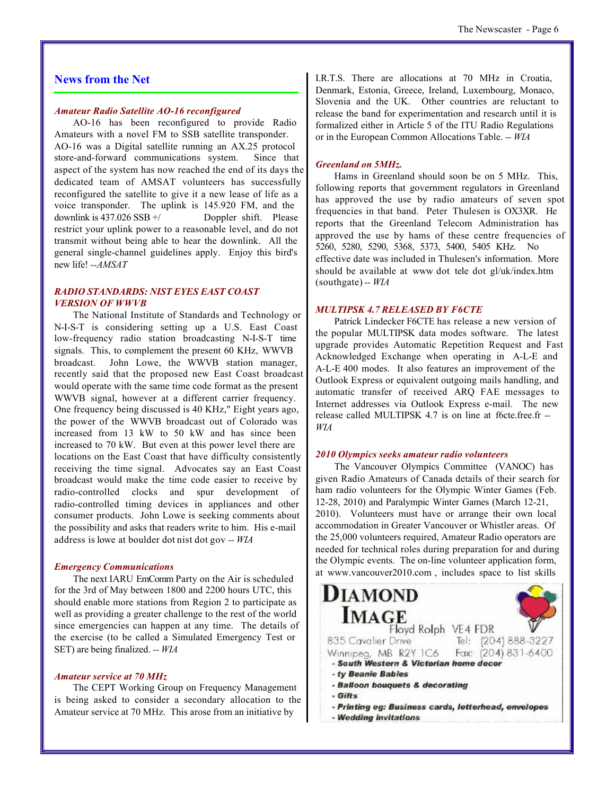#### **News from the Net**

#### *Amateur Radio Satellite AO-16 reconfigured*

AO-16 has been reconfigured to provide Radio Amateurs with a novel FM to SSB satellite transponder. AO-16 was a Digital satellite running an AX.25 protocol store-and-forward communications system. Since that aspect of the system has now reached the end of its days the dedicated team of AMSAT volunteers has successfully reconfigured the satellite to give it a new lease of life as a voice transponder. The uplink is 145.920 FM, and the downlink is  $437.026$  SSB  $+/-$  Doppler shift. Please restrict your uplink power to a reasonable level, and do not transmit without being able to hear the downlink. All the general single-channel guidelines apply. Enjoy this bird's new life! *--AMSAT*

#### *RADIO STANDARDS: NIST EYES EAST COAST VERSION OF WWVB*

The National Institute of Standards and Technology or N-I-S-T is considering setting up a U.S. East Coast low-frequency radio station broadcasting N-I-S-T time signals. This, to complement the present 60 KHz, WWVB broadcast. John Lowe, the WWVB station manager, recently said that the proposed new East Coast broadcast would operate with the same time code format as the present WWVB signal, however at a different carrier frequency. One frequency being discussed is 40 KHz," Eight years ago, the power of the WWVB broadcast out of Colorado was increased from 13 kW to 50 kW and has since been increased to 70 kW. But even at this power level there are locations on the East Coast that have difficulty consistently receiving the time signal. Advocates say an East Coast broadcast would make the time code easier to receive by radio-controlled clocks and spur development of radio-controlled timing devices in appliances and other consumer products. John Lowe is seeking comments about the possibility and asks that readers write to him. His e-mail address is lowe at boulder dot nist dot gov *-- WIA*

#### *Emergency Communications*

The next IARU EmComm Party on the Air is scheduled for the 3rd of May between 1800 and 2200 hours UTC, this should enable more stations from Region 2 to participate as well as providing a greater challenge to the rest of the world since emergencies can happen at any time. The details of the exercise (to be called a Simulated Emergency Test or SET) are being finalized. *-- WIA*

#### *Amateur service at 70 MHz*

The CEPT Working Group on Frequency Management is being asked to consider a secondary allocation to the Amateur service at 70 MHz. This arose from an initiative by

I.R.T.S. There are allocations at 70 MHz in Croatia, Denmark, Estonia, Greece, Ireland, Luxembourg, Monaco, Slovenia and the UK. Other countries are reluctant to release the band for experimentation and research until it is formalized either in Article 5 of the ITU Radio Regulations or in the European Common Allocations Table. *-- WIA*

#### *Greenland on 5MHz.*

Hams in Greenland should soon be on 5 MHz. This, following reports that government regulators in Greenland has approved the use by radio amateurs of seven spot frequencies in that band. Peter Thulesen is OX3XR. He reports that the Greenland Telecom Administration has approved the use by hams of these centre frequencies of 5260, 5280, 5290, 5368, 5373, 5400, 5405 KHz. No effective date was included in Thulesen's information. More should be available at www dot tele dot gl/uk/index.htm (southgate) *-- WIA*

#### *MULTIPSK 4.7 RELEASED BY F6CTE*

Patrick Lindecker F6CTE has release a new version of the popular MULTIPSK data modes software. The latest upgrade provides Automatic Repetition Request and Fast Acknowledged Exchange when operating in A-L-E and A-L-E 400 modes. It also features an improvement of the Outlook Express or equivalent outgoing mails handling, and automatic transfer of received ARQ FAE messages to Internet addresses via Outlook Express e-mail. The new release called MULTIPSK 4.7 is on line at f6cte.free.fr *-- WIA*

#### *2010 Olympics seeks amateur radio volunteers*

The Vancouver Olympics Committee (VANOC) has given Radio Amateurs of Canada details of their search for ham radio volunteers for the Olympic Winter Games (Feb. 12-28, 2010) and Paralympic Winter Games (March 12-21, 2010). Volunteers must have or arrange their own local accommodation in Greater Vancouver or Whistler areas. Of the 25,000 volunteers required, Amateur Radio operators are needed for technical roles during preparation for and during the Olympic events. The on-line volunteer application form, at www.vancouver2010.com , includes space to list skills

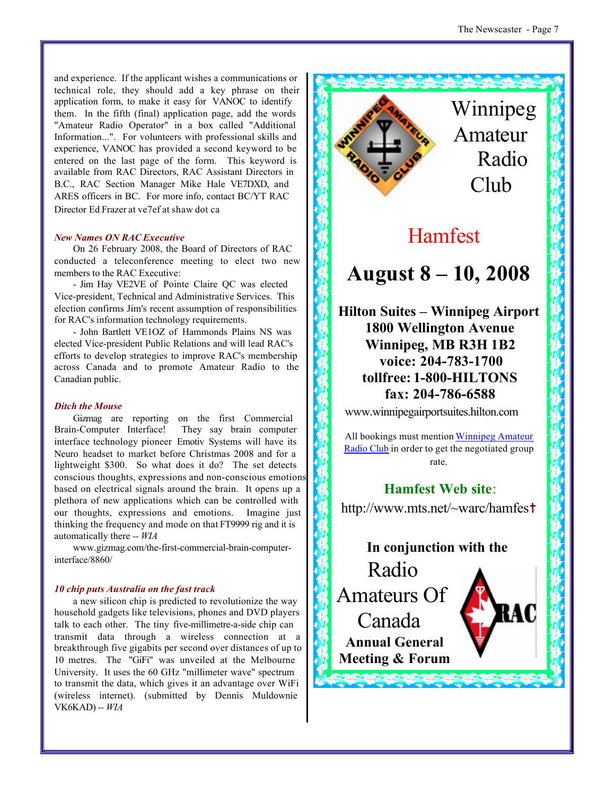and experience. If the applicant wishes a communications or technical role, they should add a key phrase on their application form, to make it easy for VANOC to identify them. In the fifth (final) application page, add the words "Amateur Radio Operator" in a box called "Additional Information...". For volunteers with professional skills and experience, VANOC has provided a second keyword to be entered on the last page of the form. This keyword is available from RAC Directors, RAC Assistant Directors in B.C., RAC Section Manager Mike Hale VE7DXD, and ARES officers in BC. For more info, contact BC/YT RAC Director Ed Frazer at ve7ef at shaw dot ca

#### *New Names ON RAC Executive*

On 26 February 2008, the Board of Directors of RAC conducted a teleconference meeting to elect two new members to the RAC Executive:

- Jim Hay VE2VE of Pointe Claire QC was elected Vice-president, Technical and Administrative Services. This election confirms Jim's recent assumption of responsibilities for RAC's information technology requirements.

- John Bartlett VE1OZ of Hammonds Plains NS was elected Vice-president Public Relations and will lead RAC's efforts to develop strategies to improve RAC's membership across Canada and to promote Amateur Radio to the Canadian public.

#### *Ditch the Mouse*

Gizmag are reporting on the first Commercial Brain-Computer Interface! They say brain computer interface technology pioneer Emotiv Systems will have its Neuro headset to market before Christmas 2008 and for a lightweight \$300. So what does it do? The set detects conscious thoughts, expressions and non-conscious emotions based on electrical signals around the brain. It opens up a plethora of new applications which can be controlled with our thoughts, expressions and emotions. Imagine just thinking the frequency and mode on that FT9999 rig and it is automatically there *-- WIA*

www.gizmag.com/the-first-commercial-brain-computerinterface/8860/

#### *10 chip puts Australia on the fast track*

a new silicon chip is predicted to revolutionize the way household gadgets like televisions, phones and DVD players talk to each other. The tiny five-millimetre-a-side chip can transmit data through a wireless connection at a breakthrough five gigabits per second over distances of up to 10 metres. The "GiFi" was unveiled at the Melbourne University. It uses the 60 GHz "millimeter wave" spectrum to transmit the data, which gives it an advantage over WiFi (wireless internet). (submitted by Dennis Muldownie VK6KAD) *-- WIA*